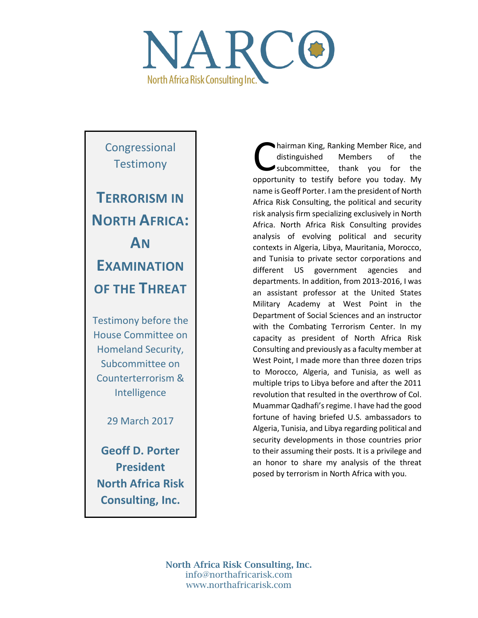

Congressional **Testimony TERRORISM IN NORTH AFRICA: AN EXAMINATION OF THE THREAT** Testimony before the House Committee on Homeland Security, Subcommittee on

Counterterrorism & Intelligence

29 March 2017

**Geoff D. Porter President North Africa Risk Consulting, Inc.**

hairman King, Ranking Member Rice, and distinguished Members of the subcommittee, thank you for the hairman King, Ranking Member Rice, and<br>distinguished Members of the<br>subcommittee, thank you for the<br>opportunity to testify before you today. My name is Geoff Porter. I am the president of North Africa Risk Consulting, the political and security risk analysis firm specializing exclusively in North Africa. North Africa Risk Consulting provides analysis of evolving political and security contexts in Algeria, Libya, Mauritania, Morocco, and Tunisia to private sector corporations and different US government agencies and departments. In addition, from 2013-2016, I was an assistant professor at the United States Military Academy at West Point in the Department of Social Sciences and an instructor with the Combating Terrorism Center. In my capacity as president of North Africa Risk Consulting and previously as a faculty member at West Point, I made more than three dozen trips to Morocco, Algeria, and Tunisia, as well as multiple trips to Libya before and after the 2011 revolution that resulted in the overthrow of Col. Muammar Qadhafi's regime. I have had the good fortune of having briefed U.S. ambassadors to Algeria, Tunisia, and Libya regarding political and security developments in those countries prior to their assuming their posts. It is a privilege and an honor to share my analysis of the threat posed by terrorism in North Africa with you.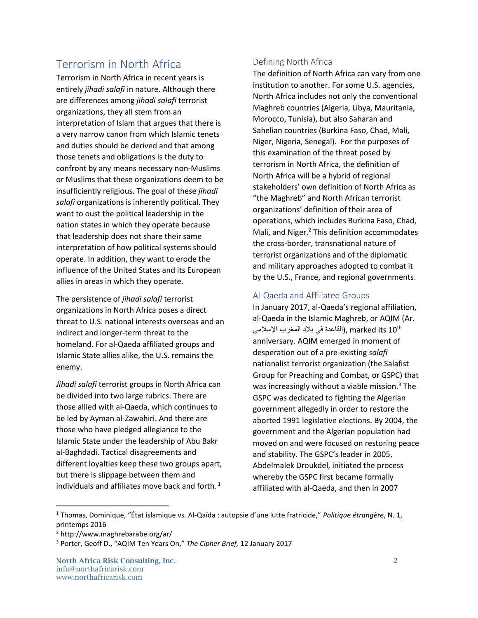# Terrorism in North Africa

Terrorism in North Africa in recent years is entirely *jihadi salafi* in nature. Although there are differences among *jihadi salafi* terrorist organizations, they all stem from an interpretation of Islam that argues that there is a very narrow canon from which Islamic tenets and duties should be derived and that among those tenets and obligations is the duty to confront by any means necessary non-Muslims or Muslims that these organizations deem to be insufficiently religious. The goal of these *jihadi salafi* organizations is inherently political. They want to oust the political leadership in the nation states in which they operate because that leadership does not share their same interpretation of how political systems should operate. In addition, they want to erode the influence of the United States and its European allies in areas in which they operate.

The persistence of *jihadi salafi* terrorist organizations in North Africa poses a direct threat to U.S. national interests overseas and an indirect and longer-term threat to the homeland. For al-Qaeda affiliated groups and Islamic State allies alike, the U.S. remains the enemy.

*Jihadi salafi* terrorist groups in North Africa can be divided into two large rubrics. There are those allied with al-Qaeda, which continues to be led by Ayman al-Zawahiri. And there are those who have pledged allegiance to the Islamic State under the leadership of Abu Bakr al-Baghdadi. Tactical disagreements and different loyalties keep these two groups apart, but there is slippage between them and individuals and affiliates move back and forth. $<sup>1</sup>$ </sup>

### Defining North Africa

The definition of North Africa can vary from one institution to another. For some U.S. agencies, North Africa includes not only the conventional Maghreb countries (Algeria, Libya, Mauritania, Morocco, Tunisia), but also Saharan and Sahelian countries (Burkina Faso, Chad, Mali, Niger, Nigeria, Senegal). For the purposes of this examination of the threat posed by terrorism in North Africa, the definition of North Africa will be a hybrid of regional stakeholders' own definition of North Africa as "the Maghreb" and North African terrorist organizations' definition of their area of operations, which includes Burkina Faso, Chad, Mali, and Niger.<sup>2</sup> This definition accommodates the cross-border, transnational nature of terrorist organizations and of the diplomatic and military approaches adopted to combat it by the U.S., France, and regional governments.

### Al-Qaeda and Affiliated Groups

In January 2017, al-Qaeda's regional affiliation, al-Qaeda in the Islamic Maghreb, or AQIM (Ar. القاعدة في بلاد المغرب الإسلامي), marked its 10<sup>th</sup> anniversary. AQIM emerged in moment of desperation out of a pre-existing *salafi*  nationalist terrorist organization (the Salafist Group for Preaching and Combat, or GSPC) that was increasingly without a viable mission.<sup>3</sup> The GSPC was dedicated to fighting the Algerian government allegedly in order to restore the aborted 1991 legislative elections. By 2004, the government and the Algerian population had moved on and were focused on restoring peace and stability. The GSPC's leader in 2005, Abdelmalek Droukdel, initiated the process whereby the GSPC first became formally affiliated with al-Qaeda, and then in 2007

 $\overline{\phantom{a}}$ 

North Africa Risk Consulting, Inc. 2 info@northafricarisk.com www.northafricarisk.com

<sup>1</sup> Thomas, Dominique, "État islamique vs. Al-Qaïda : autopsie d'une lutte fratricide," *Politique étrangère*, N. 1, printemps 2016

<sup>2</sup> http://www.maghrebarabe.org/ar/

<sup>3</sup> Porter, Geoff D., "AQIM Ten Years On," *The Cipher Brief,* 12 January 2017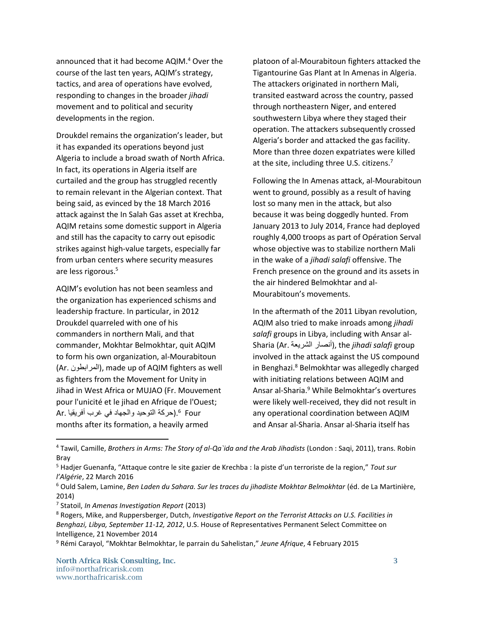announced that it had become AQIM.<sup>4</sup> Over the course of the last ten years, AQIM's strategy, tactics, and area of operations have evolved, responding to changes in the broader *jihadi* movement and to political and security developments in the region.

Droukdel remains the organization's leader, but it has expanded its operations beyond just Algeria to include a broad swath of North Africa. In fact, its operations in Algeria itself are curtailed and the group has struggled recently to remain relevant in the Algerian context. That being said, as evinced by the 18 March 2016 attack against the In Salah Gas asset at Krechba, AQIM retains some domestic support in Algeria and still has the capacity to carry out episodic strikes against high-value targets, especially far from urban centers where security measures are less rigorous. 5

AQIM's evolution has not been seamless and the organization has experienced schisms and leadership fracture. In particular, in 2012 Droukdel quarreled with one of his commanders in northern Mali, and that commander, Mokhtar Belmokhtar, quit AQIM to form his own organization, al-Mourabitoun (Ar. المرابطون(, made up of AQIM fighters as well as fighters from the Movement for Unity in Jihad in West Africa or MUJAO (Fr. Mouvement pour l'unicité et le jihad en Afrique de l'Ouest; .(حركة التوحيد والجهاد في غرب أفريقيا .Ar 6 Four months after its formation, a heavily armed

platoon of al-Mourabitoun fighters attacked the Tigantourine Gas Plant at In Amenas in Algeria. The attackers originated in northern Mali, transited eastward across the country, passed through northeastern Niger, and entered southwestern Libya where they staged their operation. The attackers subsequently crossed Algeria's border and attacked the gas facility. More than three dozen expatriates were killed at the site, including three U.S. citizens.<sup>7</sup>

Following the In Amenas attack, al-Mourabitoun went to ground, possibly as a result of having lost so many men in the attack, but also because it was being doggedly hunted. From January 2013 to July 2014, France had deployed roughly 4,000 troops as part of Opération Serval whose objective was to stabilize northern Mali in the wake of a *jihadi salafi* offensive. The French presence on the ground and its assets in the air hindered Belmokhtar and al-Mourabitoun's movements.

In the aftermath of the 2011 Libyan revolution, AQIM also tried to make inroads among *jihadi salafi* groups in Libya, including with Ansar al-Sharia (Ar. الشريعة أنصار(, the *jihadi salafi* group involved in the attack against the US compound in Benghazi.<sup>8</sup> Belmokhtar was allegedly charged with initiating relations between AQIM and Ansar al-Sharia.<sup>9</sup> While Belmokhtar's overtures were likely well-received, they did not result in any operational coordination between AQIM and Ansar al-Sharia. Ansar al-Sharia itself has

<sup>4</sup> Tawil, Camille, *Brothers in Arms: The Story of al-Qa`ida and the Arab Jihadists* (London : Saqi, 2011), trans. Robin Bray

<sup>5</sup> Hadjer Guenanfa, "Attaque contre le site gazier de Krechba : la piste d'un terroriste de la region," *Tout sur l'Algérie*, 22 March 2016

<sup>6</sup> Ould Salem, Lamine, *Ben Laden du Sahara. Sur les traces du jihadiste Mokhtar Belmokhtar* (éd. de La Martinière, 2014)

<sup>7</sup> Statoil, *In Amenas Investigation Report* (2013)

<sup>8</sup> Rogers, Mike, and Ruppersberger, Dutch, *Investigative Report on the Terrorist Attacks on U.S. Facilities in Benghazi, Libya, September 11-12, 2012*, U.S. House of Representatives Permanent Select Committee on Intelligence, 21 November 2014

<sup>9</sup> Rémi Carayol, "Mokhtar Belmokhtar, le parrain du Sahelistan," *Jeune Afrique*, 4 February 2015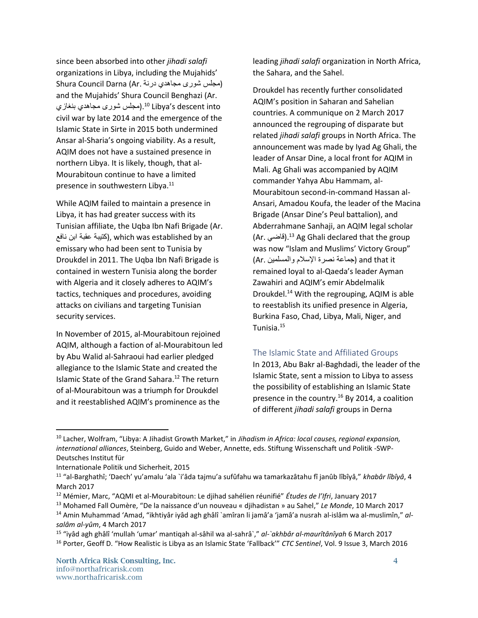since been absorbed into other *jihadi salafi* organizations in Libya, including the Mujahids' (مجلس شورى مجاهدي درنة .Ar (Darna Council Shura and the Mujahids' Shura Council Benghazi (Ar. مجلس شوري مجاهدي بنغازي).<sup>10</sup> Libya's descent into civil war by late 2014 and the emergence of the Islamic State in Sirte in 2015 both undermined Ansar al-Sharia's ongoing viability. As a result, AQIM does not have a sustained presence in northern Libya. It is likely, though, that al-Mourabitoun continue to have a limited presence in southwestern Libya.<sup>11</sup>

While AQIM failed to maintain a presence in Libya, it has had greater success with its Tunisian affiliate, the Uqba Ibn Nafi Brigade (Ar. نكتيبة عقبة ابن نافع), which was established by an emissary who had been sent to Tunisia by Droukdel in 2011. The Uqba Ibn Nafi Brigade is contained in western Tunisia along the border with Algeria and it closely adheres to AQIM's tactics, techniques and procedures, avoiding attacks on civilians and targeting Tunisian security services.

In November of 2015, al-Mourabitoun rejoined AQIM, although a faction of al-Mourabitoun led by Abu Walid al-Sahraoui had earlier pledged allegiance to the Islamic State and created the Islamic State of the Grand Sahara. <sup>12</sup> The return of al-Mourabitoun was a triumph for Droukdel and it reestablished AQIM's prominence as the

leading *jihadi salafi* organization in North Africa, the Sahara, and the Sahel.

Droukdel has recently further consolidated AQIM's position in Saharan and Sahelian countries. A communique on 2 March 2017 announced the regrouping of disparate but related *jihadi salafi* groups in North Africa. The announcement was made by Iyad Ag Ghali, the leader of Ansar Dine, a local front for AQIM in Mali. Ag Ghali was accompanied by AQIM commander Yahya Abu Hammam, al-Mourabitoun second-in-command Hassan al-Ansari, Amadou Koufa, the leader of the Macina Brigade (Ansar Dine's Peul battalion), and Abderrahmane Sanhaji, an AQIM legal scholar (Ar. قاضي).<sup>13</sup> Ag Ghali declared that the group was now "Islam and Muslims' Victory Group" it that and) جماعة نصرة اإلسالم والمسلمين .Ar( remained loyal to al-Qaeda's leader Ayman Zawahiri and AQIM's emir Abdelmalik Droukdel.<sup>14</sup> With the regrouping, AQIM is able to reestablish its unified presence in Algeria, Burkina Faso, Chad, Libya, Mali, Niger, and Tunisia. 15

#### The Islamic State and Affiliated Groups

In 2013, Abu Bakr al-Baghdadi, the leader of the Islamic State, sent a mission to Libya to assess the possibility of establishing an Islamic State presence in the country.<sup>16</sup> By 2014, a coalition of different *jihadi salafi* groups in Derna

<sup>10</sup> Lacher, Wolfram, "Libya: A Jihadist Growth Market," in *Jihadism in Africa: local causes, regional expansion, international alliances*, Steinberg, Guido and Weber, Annette, eds. Stiftung Wissenschaft und Politik -SWP-Deutsches Institut für

Internationale Politik und Sicherheit, 2015

<sup>&</sup>lt;sup>11</sup> "al-Barghathî; 'Daech' yu'amalu 'ala `i'âda tajmu'a sufûfahu wa tamarkazâtahu fî janûb lîbîyâ," *khabâr lîbîyâ*, 4 March 2017

<sup>12</sup> Mémier, Marc, "AQMI et al-Mourabitoun: Le djihad sahélien réunifié" *Études de l'Ifri*, January 2017

<sup>13</sup> Mohamed Fall Oumère, "De la naissance d'un nouveau « djihadistan » au Sahel," *Le Monde*, 10 March 2017 <sup>14</sup> Amin Muhammad 'Amad, "ikhtiyâr iyâd agh ghâlî `amîran li jamâ'a 'jamâ'a nusrah al-islâm wa al-muslimîn," *alsalâm al-yûm*, 4 March 2017

<sup>15</sup> "iyâd agh ghâlî 'mullah 'umar' mantiqah al-sâhil wa al-sahrâ`," *al-`akhbâr al-maurîtânîyah* 6 March 2017 <sup>16</sup> Porter, Geoff D. "How Realistic is Libya as an Islamic State 'Fallback'" *CTC Sentinel*, Vol. 9 Issue 3, March 2016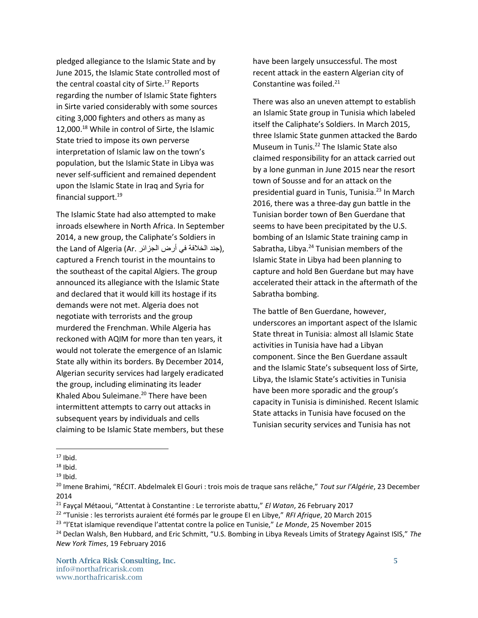pledged allegiance to the Islamic State and by June 2015, the Islamic State controlled most of the central coastal city of Sirte. $17$  Reports regarding the number of Islamic State fighters in Sirte varied considerably with some sources citing 3,000 fighters and others as many as 12,000.<sup>18</sup> While in control of Sirte, the Islamic State tried to impose its own perverse interpretation of Islamic law on the town's population, but the Islamic State in Libya was never self-sufficient and remained dependent upon the Islamic State in Iraq and Syria for financial support.<sup>19</sup>

The Islamic State had also attempted to make inroads elsewhere in North Africa. In September 2014, a new group, the Caliphate's Soldiers in the Land of Algeria (Ar. جند الخلافة في أرض الجزائر), captured a French tourist in the mountains to the southeast of the capital Algiers. The group announced its allegiance with the Islamic State and declared that it would kill its hostage if its demands were not met. Algeria does not negotiate with terrorists and the group murdered the Frenchman. While Algeria has reckoned with AQIM for more than ten years, it would not tolerate the emergence of an Islamic State ally within its borders. By December 2014, Algerian security services had largely eradicated the group, including eliminating its leader Khaled Abou Suleimane. <sup>20</sup> There have been intermittent attempts to carry out attacks in subsequent years by individuals and cells claiming to be Islamic State members, but these

have been largely unsuccessful. The most recent attack in the eastern Algerian city of Constantine was foiled.<sup>21</sup>

There was also an uneven attempt to establish an Islamic State group in Tunisia which labeled itself the Caliphate's Soldiers. In March 2015, three Islamic State gunmen attacked the Bardo Museum in Tunis. <sup>22</sup> The Islamic State also claimed responsibility for an attack carried out by a lone gunman in June 2015 near the resort town of Sousse and for an attack on the presidential guard in Tunis, Tunisia.<sup>23</sup> In March 2016, there was a three-day gun battle in the Tunisian border town of Ben Guerdane that seems to have been precipitated by the U.S. bombing of an Islamic State training camp in Sabratha, Libya.<sup>24</sup> Tunisian members of the Islamic State in Libya had been planning to capture and hold Ben Guerdane but may have accelerated their attack in the aftermath of the Sabratha bombing.

The battle of Ben Guerdane, however, underscores an important aspect of the Islamic State threat in Tunisia: almost all Islamic State activities in Tunisia have had a Libyan component. Since the Ben Guerdane assault and the Islamic State's subsequent loss of Sirte, Libya, the Islamic State's activities in Tunisia have been more sporadic and the group's capacity in Tunisia is diminished. Recent Islamic State attacks in Tunisia have focused on the Tunisian security services and Tunisia has not

 $17$  Ibid.

 $18$  Ibid.

 $19$  Ibid.

<sup>20</sup> Imene Brahimi, "RÉCIT. Abdelmalek El Gouri : trois mois de traque sans relâche," *Tout sur l'Algérie*, 23 December 2014

<sup>21</sup> Fayçal Métaoui, "Attentat à Constantine : Le terroriste abattu," *El Watan*, 26 February 2017

<sup>22</sup> "Tunisie : les terrorists auraient été formés par le groupe EI en Libye," *RFI Afrique*, 20 March 2015

<sup>23</sup> "l'Etat islamique revendique l'attentat contre la police en Tunisie," *Le Monde*, 25 November 2015

<sup>24</sup> Declan Walsh, Ben Hubbard, and Eric Schmitt, "U.S. Bombing in Libya Reveals Limits of Strategy Against ISIS," *The New York Times*, 19 February 2016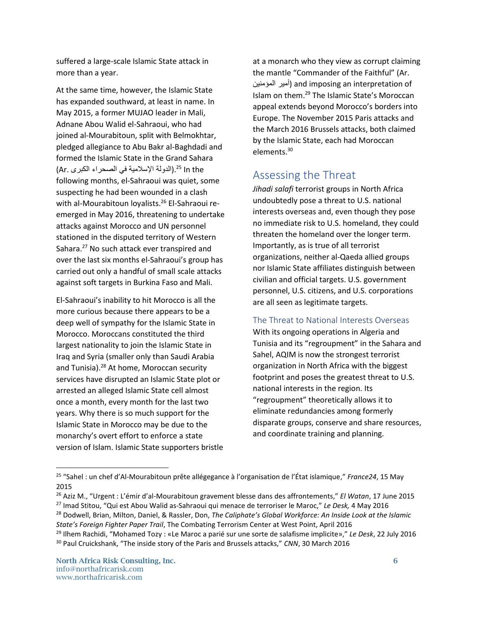suffered a large-scale Islamic State attack in more than a year.

At the same time, however, the Islamic State has expanded southward, at least in name. In May 2015, a former MUJAO leader in Mali, Adnane Abou Walid el-Sahraoui, who had joined al-Mourabitoun, split with Belmokhtar, pledged allegiance to Abu Bakr al-Baghdadi and formed the Islamic State in the Grand Sahara Ar. (الدولة الإسلامية في الصحراء الكبرى).<sup>25</sup> In the following months, el-Sahraoui was quiet, some suspecting he had been wounded in a clash with al-Mourabitoun loyalists.<sup>26</sup> El-Sahraoui reemerged in May 2016, threatening to undertake attacks against Morocco and UN personnel stationed in the disputed territory of Western Sahara.<sup>27</sup> No such attack ever transpired and over the last six months el-Sahraoui's group has carried out only a handful of small scale attacks against soft targets in Burkina Faso and Mali.

El-Sahraoui's inability to hit Morocco is all the more curious because there appears to be a deep well of sympathy for the Islamic State in Morocco. Moroccans constituted the third largest nationality to join the Islamic State in Iraq and Syria (smaller only than Saudi Arabia and Tunisia).<sup>28</sup> At home, Moroccan security services have disrupted an Islamic State plot or arrested an alleged Islamic State cell almost once a month, every month for the last two years. Why there is so much support for the Islamic State in Morocco may be due to the monarchy's overt effort to enforce a state version of Islam. Islamic State supporters bristle at a monarch who they view as corrupt claiming the mantle "Commander of the Faithful" (Ar. المؤمنين أمير (and imposing an interpretation of Islam on them.<sup>29</sup> The Islamic State's Moroccan appeal extends beyond Morocco's borders into Europe. The November 2015 Paris attacks and the March 2016 Brussels attacks, both claimed by the Islamic State, each had Moroccan elements.<sup>30</sup>

# Assessing the Threat

*Jihadi salafi* terrorist groups in North Africa undoubtedly pose a threat to U.S. national interests overseas and, even though they pose no immediate risk to U.S. homeland, they could threaten the homeland over the longer term. Importantly, as is true of all terrorist organizations, neither al-Qaeda allied groups nor Islamic State affiliates distinguish between civilian and official targets. U.S. government personnel, U.S. citizens, and U.S. corporations are all seen as legitimate targets.

The Threat to National Interests Overseas

With its ongoing operations in Algeria and Tunisia and its "regroupment" in the Sahara and Sahel, AQIM is now the strongest terrorist organization in North Africa with the biggest footprint and poses the greatest threat to U.S. national interests in the region. Its "regroupment" theoretically allows it to eliminate redundancies among formerly disparate groups, conserve and share resources, and coordinate training and planning.

l

<sup>25</sup> "Sahel : un chef d'Al-Mourabitoun prête allégegance à l'organisation de l'État islamique," *France24*, 15 May 2015

<sup>26</sup> Aziz M., "Urgent : L'émir d'al-Mourabitoun gravement blesse dans des affrontements," *El Watan*, 17 June 2015

<sup>27</sup> Imad Stitou, "Qui est Abou Walid as-Sahraoui qui menace de terroriser le Maroc," *Le Desk,* 4 May 2016

<sup>28</sup> Dodwell, Brian, Milton, Daniel, & Rassler, Don, *The Caliphate's Global Workforce: An Inside Look at the Islamic State's Foreign Fighter Paper Trail*, The Combating Terrorism Center at West Point, April 2016

<sup>29</sup> Ilhem Rachidi, "Mohamed Tozy : «Le Maroc a parié sur une sorte de salafisme implicite»," *Le Desk*, 22 July 2016 <sup>30</sup> Paul Cruickshank, "The inside story of the Paris and Brussels attacks," *CNN*, 30 March 2016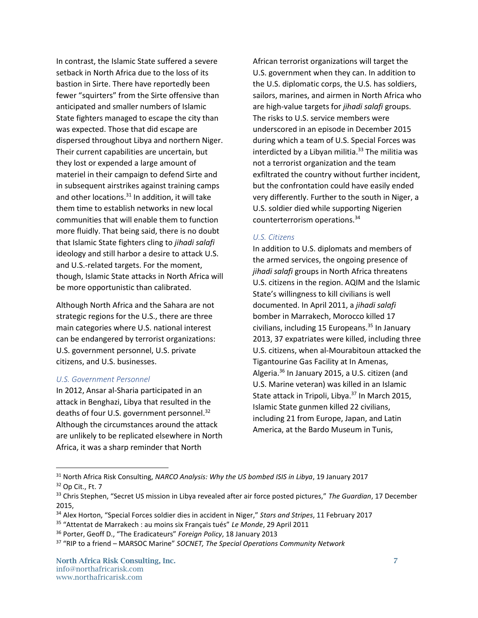In contrast, the Islamic State suffered a severe setback in North Africa due to the loss of its bastion in Sirte. There have reportedly been fewer "squirters" from the Sirte offensive than anticipated and smaller numbers of Islamic State fighters managed to escape the city than was expected. Those that did escape are dispersed throughout Libya and northern Niger. Their current capabilities are uncertain, but they lost or expended a large amount of materiel in their campaign to defend Sirte and in subsequent airstrikes against training camps and other locations.<sup>31</sup> In addition, it will take them time to establish networks in new local communities that will enable them to function more fluidly. That being said, there is no doubt that Islamic State fighters cling to *jihadi salafi* ideology and still harbor a desire to attack U.S. and U.S.-related targets. For the moment, though, Islamic State attacks in North Africa will be more opportunistic than calibrated.

Although North Africa and the Sahara are not strategic regions for the U.S., there are three main categories where U.S. national interest can be endangered by terrorist organizations: U.S. government personnel, U.S. private citizens, and U.S. businesses.

#### *U.S. Government Personnel*

In 2012, Ansar al-Sharia participated in an attack in Benghazi, Libya that resulted in the deaths of four U.S. government personnel.<sup>32</sup> Although the circumstances around the attack are unlikely to be replicated elsewhere in North Africa, it was a sharp reminder that North

African terrorist organizations will target the U.S. government when they can. In addition to the U.S. diplomatic corps, the U.S. has soldiers, sailors, marines, and airmen in North Africa who are high-value targets for *jihadi salafi* groups. The risks to U.S. service members were underscored in an episode in December 2015 during which a team of U.S. Special Forces was interdicted by a Libyan militia. $33$  The militia was not a terrorist organization and the team exfiltrated the country without further incident, but the confrontation could have easily ended very differently. Further to the south in Niger, a U.S. soldier died while supporting Nigerien counterterrorism operations.<sup>34</sup>

#### *U.S. Citizens*

In addition to U.S. diplomats and members of the armed services, the ongoing presence of *jihadi salafi* groups in North Africa threatens U.S. citizens in the region. AQIM and the Islamic State's willingness to kill civilians is well documented. In April 2011, a *jihadi salafi* bomber in Marrakech, Morocco killed 17 civilians, including 15 Europeans. $35$  In January 2013, 37 expatriates were killed, including three U.S. citizens, when al-Mourabitoun attacked the Tigantourine Gas Facility at In Amenas, Algeria.<sup>36</sup> In January 2015, a U.S. citizen (and U.S. Marine veteran) was killed in an Islamic State attack in Tripoli, Libya.<sup>37</sup> In March 2015, Islamic State gunmen killed 22 civilians, including 21 from Europe, Japan, and Latin America, at the Bardo Museum in Tunis,

l

<sup>31</sup> North Africa Risk Consulting, *NARCO Analysis: Why the US bombed ISIS in Libya*, 19 January 2017

<sup>32</sup> Op Cit., Ft. 7

<sup>33</sup> Chris Stephen, "Secret US mission in Libya revealed after air force posted pictures," *The Guardian*, 17 December 2015,

<sup>34</sup> Alex Horton, "Special Forces soldier dies in accident in Niger," *Stars and Stripes*, 11 February 2017

<sup>35</sup> "Attentat de Marrakech : au moins six Français tués" *Le Monde*, 29 April 2011

<sup>36</sup> Porter, Geoff D., "The Eradicateurs" *Foreign Policy*, 18 January 2013

<sup>37</sup> "RIP to a friend – MARSOC Marine" *SOCNET, The Special Operations Community Network*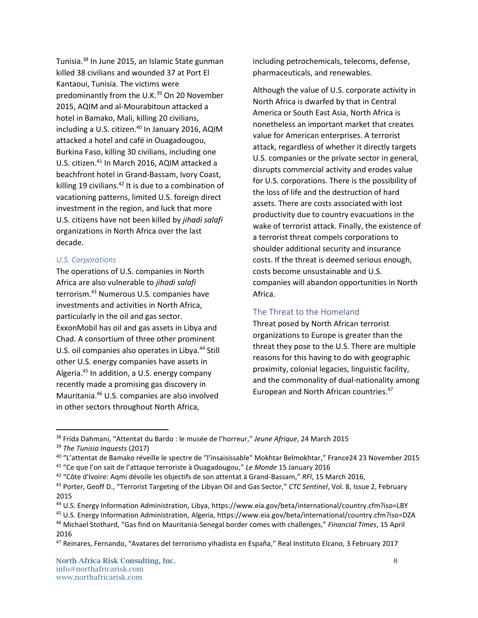Tunisia.<sup>38</sup> In June 2015, an Islamic State gunman killed 38 civilians and wounded 37 at Port El Kantaoui, Tunisia. The victims were predominantly from the U.K.<sup>39</sup> On 20 November 2015, AQIM and al-Mourabitoun attacked a hotel in Bamako, Mali, killing 20 civilians, including a U.S. citizen.<sup>40</sup> In January 2016, AQIM attacked a hotel and café in Ouagadougou, Burkina Faso, killing 30 civilians, including one U.S. citizen.<sup>41</sup> In March 2016, AQIM attacked a beachfront hotel in Grand-Bassam, Ivory Coast, killing 19 civilians. $42$  It is due to a combination of vacationing patterns, limited U.S. foreign direct investment in the region, and luck that more U.S. citizens have not been killed by *jihadi salafi*  organizations in North Africa over the last decade.

### *U.S. Corporations*

The operations of U.S. companies in North Africa are also vulnerable to *jihadi salafi* terrorism. <sup>43</sup> Numerous U.S. companies have investments and activities in North Africa, particularly in the oil and gas sector. ExxonMobil has oil and gas assets in Libya and Chad. A consortium of three other prominent U.S. oil companies also operates in Libya.<sup>44</sup> Still other U.S. energy companies have assets in Algeria.<sup>45</sup> In addition, a U.S. energy company recently made a promising gas discovery in Mauritania.<sup>46</sup> U.S. companies are also involved in other sectors throughout North Africa,

including petrochemicals, telecoms, defense, pharmaceuticals, and renewables.

Although the value of U.S. corporate activity in North Africa is dwarfed by that in Central America or South East Asia, North Africa is nonetheless an important market that creates value for American enterprises. A terrorist attack, regardless of whether it directly targets U.S. companies or the private sector in general, disrupts commercial activity and erodes value for U.S. corporations. There is the possibility of the loss of life and the destruction of hard assets. There are costs associated with lost productivity due to country evacuations in the wake of terrorist attack. Finally, the existence of a terrorist threat compels corporations to shoulder additional security and insurance costs. If the threat is deemed serious enough, costs become unsustainable and U.S. companies will abandon opportunities in North Africa.

## The Threat to the Homeland

Threat posed by North African terrorist organizations to Europe is greater than the threat they pose to the U.S. There are multiple reasons for this having to do with geographic proximity, colonial legacies, linguistic facility, and the commonality of dual-nationality among European and North African countries. 47

<sup>38</sup> Frida Dahmani, "Attentat du Bardo : le musée de l'horreur," *Jeune Afrique*, 24 March 2015

<sup>39</sup> *The Tunisia Inquests* (2017)

<sup>&</sup>lt;sup>40</sup> "L'attentat de Bamako réveille le spectre de "l'insaisissable" Mokhtar Belmokhtar," France24 23 November 2015

<sup>41</sup> "Ce que l'on sait de l'attaque terroriste à Ouagadougou," *Le Monde* 15 January 2016

<sup>42</sup> "Côte d'Ivoire: Aqmi dévoile les objectifs de son attentat à Grand-Bassam," *RFI*, 15 March 2016,

<sup>43</sup> Porter, Geoff D., "Terrorist Targeting of the Libyan Oil and Gas Sector," *CTC Sentinel*, Vol. 8, Issue 2, February 2015

<sup>44</sup> U.S. Energy Information Administration, Libya, https://www.eia.gov/beta/international/country.cfm?iso=LBY

<sup>45</sup> U.S. Energy Information Administration, Algeria, https://www.eia.gov/beta/international/country.cfm?iso=DZA

<sup>46</sup> Michael Stothard, "Gas find on Mauritania-Senegal border comes with challenges," *Financial Times*, 15 April 2016

<sup>47</sup> Reinares, Fernando, "Avatares del terrorismo yihadista en España," Real Instituto Elcano, 3 February 2017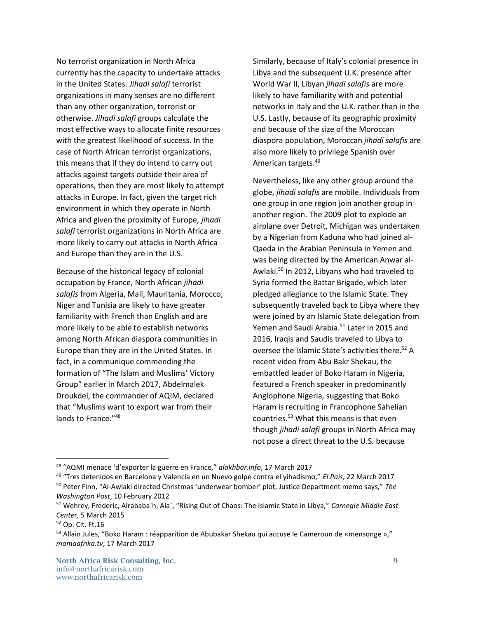No terrorist organization in North Africa currently has the capacity to undertake attacks in the United States. *Jihadi salafi* terrorist organizations in many senses are no different than any other organization, terrorist or otherwise. *Jihadi salafi* groups calculate the most effective ways to allocate finite resources with the greatest likelihood of success. In the case of North African terrorist organizations, this means that if they do intend to carry out attacks against targets outside their area of operations, then they are most likely to attempt attacks in Europe. In fact, given the target rich environment in which they operate in North Africa and given the proximity of Europe, *jihadi salafi* terrorist organizations in North Africa are more likely to carry out attacks in North Africa and Europe than they are in the U.S.

Because of the historical legacy of colonial occupation by France, North African *jihadi salafis* from Algeria, Mali, Mauritania, Morocco, Niger and Tunisia are likely to have greater familiarity with French than English and are more likely to be able to establish networks among North African diaspora communities in Europe than they are in the United States. In fact, in a communique commending the formation of "The Islam and Muslims' Victory Group" earlier in March 2017, Abdelmalek Droukdel, the commander of AQIM, declared that "Muslims want to export war from their lands to France."<sup>48</sup>

Similarly, because of Italy's colonial presence in Libya and the subsequent U.K. presence after World War II, Libyan *jihadi salafis* are more likely to have familiarity with and potential networks in Italy and the U.K. rather than in the U.S. Lastly, because of its geographic proximity and because of the size of the Moroccan diaspora population, Moroccan *jihadi salafis* are also more likely to privilege Spanish over American targets.<sup>49</sup>

Nevertheless, like any other group around the globe, *jihadi salafis* are mobile. Individuals from one group in one region join another group in another region. The 2009 plot to explode an airplane over Detroit, Michigan was undertaken by a Nigerian from Kaduna who had joined al-Qaeda in the Arabian Peninsula in Yemen and was being directed by the American Anwar al-Awlaki.<sup>50</sup> In 2012, Libyans who had traveled to Syria formed the Battar Brigade, which later pledged allegiance to the Islamic State. They subsequently traveled back to Libya where they were joined by an Islamic State delegation from Yemen and Saudi Arabia.<sup>51</sup> Later in 2015 and 2016, Iraqis and Saudis traveled to Libya to oversee the Islamic State's activities there.<sup>52</sup> A recent video from Abu Bakr Shekau, the embattled leader of Boko Haram in Nigeria, featured a French speaker in predominantly Anglophone Nigeria, suggesting that Boko Haram is recruiting in Francophone Sahelian countries. <sup>53</sup> What this means is that even though *jihadi salafi* groups in North Africa may not pose a direct threat to the U.S. because

<sup>48</sup> "AQMI menace 'd'exporter la guerre en France," *alakhbar.info*, 17 March 2017

<sup>49</sup> "Tres detenidos en Barcelona y Valencia en un Nuevo golpe contra el yihadismo," *El País*, 22 March 2017

<sup>50</sup> Peter Finn, "Al-Awlaki directed Christmas 'underwear bomber' plot, Justice Department memo says," *The Washington Post*, 10 February 2012

<sup>51</sup> Wehrey, Frederic, Alrababa`h, Ala`, "Rising Out of Chaos: The Islamic State in Libya," *Carnegie Middle East Center,* 5 March 2015

<sup>52</sup> Op. Cit. Ft.16

<sup>53</sup> Allain Jules, "Boko Haram : réapparition de Abubakar Shekau qui accuse le Cameroun de «mensonge »," *mamaafrika.tv*, 17 March 2017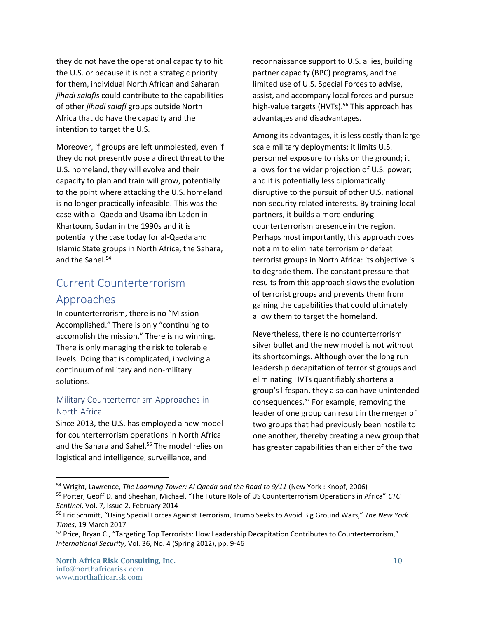they do not have the operational capacity to hit the U.S. or because it is not a strategic priority for them, individual North African and Saharan *jihadi salafis* could contribute to the capabilities of other *jihadi salafi* groups outside North Africa that do have the capacity and the intention to target the U.S.

Moreover, if groups are left unmolested, even if they do not presently pose a direct threat to the U.S. homeland, they will evolve and their capacity to plan and train will grow, potentially to the point where attacking the U.S. homeland is no longer practically infeasible. This was the case with al-Qaeda and Usama ibn Laden in Khartoum, Sudan in the 1990s and it is potentially the case today for al-Qaeda and Islamic State groups in North Africa, the Sahara, and the Sahel. 54

# Current Counterterrorism Approaches

In counterterrorism, there is no "Mission Accomplished." There is only "continuing to accomplish the mission." There is no winning. There is only managing the risk to tolerable levels. Doing that is complicated, involving a continuum of military and non-military solutions.

## Military Counterterrorism Approaches in North Africa

Since 2013, the U.S. has employed a new model for counterterrorism operations in North Africa and the Sahara and Sahel. <sup>55</sup> The model relies on logistical and intelligence, surveillance, and

reconnaissance support to U.S. allies, building partner capacity (BPC) programs, and the limited use of U.S. Special Forces to advise, assist, and accompany local forces and pursue high-value targets (HVTs). <sup>56</sup> This approach has advantages and disadvantages.

Among its advantages, it is less costly than large scale military deployments; it limits U.S. personnel exposure to risks on the ground; it allows for the wider projection of U.S. power; and it is potentially less diplomatically disruptive to the pursuit of other U.S. national non-security related interests. By training local partners, it builds a more enduring counterterrorism presence in the region. Perhaps most importantly, this approach does not aim to eliminate terrorism or defeat terrorist groups in North Africa: its objective is to degrade them. The constant pressure that results from this approach slows the evolution of terrorist groups and prevents them from gaining the capabilities that could ultimately allow them to target the homeland.

Nevertheless, there is no counterterrorism silver bullet and the new model is not without its shortcomings. Although over the long run leadership decapitation of terrorist groups and eliminating HVTs quantifiably shortens a group's lifespan, they also can have unintended consequences.<sup>57</sup> For example, removing the leader of one group can result in the merger of two groups that had previously been hostile to one another, thereby creating a new group that has greater capabilities than either of the two

<sup>54</sup> Wright, Lawrence, *The Looming Tower: Al Qaeda and the Road to 9/11* (New York : Knopf, 2006) <sup>55</sup> Porter, Geoff D. and Sheehan, Michael, "The Future Role of US Counterterrorism Operations in Africa" *CTC Sentinel*, Vol. 7, Issue 2, February 2014

<sup>56</sup> Eric Schmitt, "Using Special Forces Against Terrorism, Trump Seeks to Avoid Big Ground Wars," *The New York Times*, 19 March 2017

<sup>57</sup> Price, Bryan C., "Targeting Top Terrorists: How Leadership Decapitation Contributes to Counterterrorism," *International Security*, Vol. 36, No. 4 (Spring 2012), pp. 9-46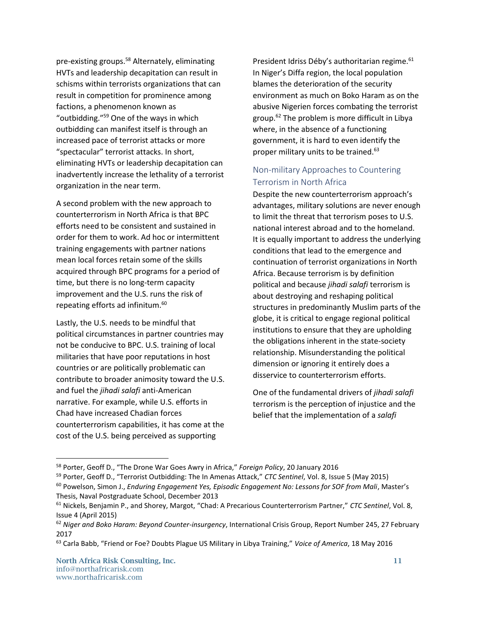pre-existing groups.<sup>58</sup> Alternately, eliminating HVTs and leadership decapitation can result in schisms within terrorists organizations that can result in competition for prominence among factions, a phenomenon known as "outbidding."<sup>59</sup> One of the ways in which outbidding can manifest itself is through an increased pace of terrorist attacks or more "spectacular" terrorist attacks. In short, eliminating HVTs or leadership decapitation can inadvertently increase the lethality of a terrorist organization in the near term.

A second problem with the new approach to counterterrorism in North Africa is that BPC efforts need to be consistent and sustained in order for them to work. Ad hoc or intermittent training engagements with partner nations mean local forces retain some of the skills acquired through BPC programs for a period of time, but there is no long-term capacity improvement and the U.S. runs the risk of repeating efforts ad infinitum. 60

Lastly, the U.S. needs to be mindful that political circumstances in partner countries may not be conducive to BPC. U.S. training of local militaries that have poor reputations in host countries or are politically problematic can contribute to broader animosity toward the U.S. and fuel the *jihadi salafi* anti-American narrative. For example, while U.S. efforts in Chad have increased Chadian forces counterterrorism capabilities, it has come at the cost of the U.S. being perceived as supporting

President Idriss Déby's authoritarian regime.<sup>61</sup> In Niger's Diffa region, the local population blames the deterioration of the security environment as much on Boko Haram as on the abusive Nigerien forces combating the terrorist group.<sup>62</sup> The problem is more difficult in Libya where, in the absence of a functioning government, it is hard to even identify the proper military units to be trained. $63$ 

## Non-military Approaches to Countering Terrorism in North Africa

Despite the new counterterrorism approach's advantages, military solutions are never enough to limit the threat that terrorism poses to U.S. national interest abroad and to the homeland. It is equally important to address the underlying conditions that lead to the emergence and continuation of terrorist organizations in North Africa. Because terrorism is by definition political and because *jihadi salafi* terrorism is about destroying and reshaping political structures in predominantly Muslim parts of the globe, it is critical to engage regional political institutions to ensure that they are upholding the obligations inherent in the state-society relationship. Misunderstanding the political dimension or ignoring it entirely does a disservice to counterterrorism efforts.

One of the fundamental drivers of *jihadi salafi* terrorism is the perception of injustice and the belief that the implementation of a *salafi*

<sup>58</sup> Porter, Geoff D., "The Drone War Goes Awry in Africa," *Foreign Policy*, 20 January 2016

<sup>59</sup> Porter, Geoff D., "Terrorist Outbidding: The In Amenas Attack," *CTC Sentinel*, Vol. 8, Issue 5 (May 2015)

<sup>60</sup> Powelson, Simon J., *Enduring Engagement Yes, Episodic Engagement No: Lessons for SOF from Mali*, Master's Thesis, Naval Postgraduate School, December 2013

<sup>61</sup> Nickels, Benjamin P., and Shorey, Margot, "Chad: A Precarious Counterterrorism Partner," *CTC Sentinel*, Vol. 8, Issue 4 (April 2015)

<sup>62</sup> *Niger and Boko Haram: Beyond Counter-insurgency*, International Crisis Group, Report Number 245, 27 February 2017

<sup>63</sup> Carla Babb, "Friend or Foe? Doubts Plague US Military in Libya Training," *Voice of America*, 18 May 2016